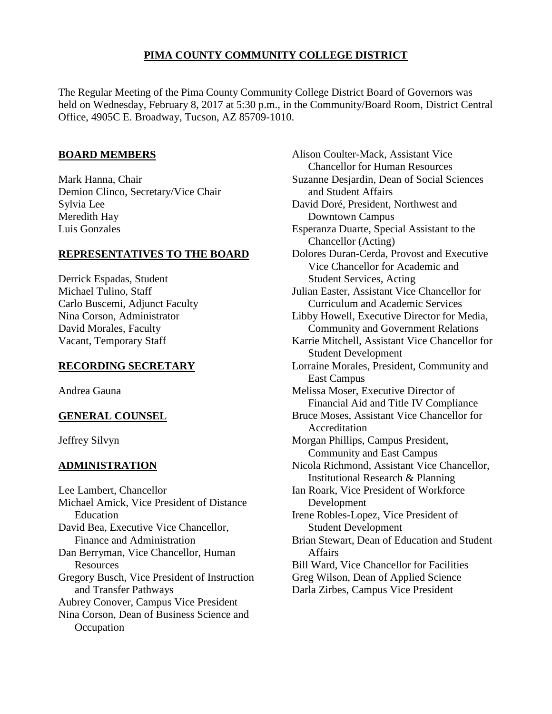# **PIMA COUNTY COMMUNITY COLLEGE DISTRICT**

The Regular Meeting of the Pima County Community College District Board of Governors was held on Wednesday, February 8, 2017 at 5:30 p.m., in the Community/Board Room, District Central Office, 4905C E. Broadway, Tucson, AZ 85709-1010.

## **BOARD MEMBERS**

Mark Hanna, Chair Demion Clinco, Secretary/Vice Chair Sylvia Lee Meredith Hay Luis Gonzales

## **REPRESENTATIVES TO THE BOARD**

Derrick Espadas, Student Michael Tulino, Staff Carlo Buscemi, Adjunct Faculty Nina Corson, Administrator David Morales, Faculty Vacant, Temporary Staff

## **RECORDING SECRETARY**

Andrea Gauna

# **GENERAL COUNSEL**

Jeffrey Silvyn

# **ADMINISTRATION**

Lee Lambert, Chancellor Michael Amick, Vice President of Distance Education David Bea, Executive Vice Chancellor, Finance and Administration Dan Berryman, Vice Chancellor, Human Resources Gregory Busch, Vice President of Instruction and Transfer Pathways Aubrey Conover, Campus Vice President Nina Corson, Dean of Business Science and **Occupation** 

Alison Coulter-Mack, Assistant Vice Chancellor for Human Resources Suzanne Desjardin, Dean of Social Sciences and Student Affairs David Doré, President, Northwest and Downtown Campus Esperanza Duarte, Special Assistant to the Chancellor (Acting) Dolores Duran-Cerda, Provost and Executive Vice Chancellor for Academic and Student Services, Acting Julian Easter, Assistant Vice Chancellor for Curriculum and Academic Services Libby Howell, Executive Director for Media, Community and Government Relations Karrie Mitchell, Assistant Vice Chancellor for Student Development Lorraine Morales, President, Community and East Campus Melissa Moser, Executive Director of Financial Aid and Title IV Compliance Bruce Moses, Assistant Vice Chancellor for **Accreditation** Morgan Phillips, Campus President, Community and East Campus Nicola Richmond, Assistant Vice Chancellor, Institutional Research & Planning Ian Roark, Vice President of Workforce Development Irene Robles-Lopez, Vice President of Student Development Brian Stewart, Dean of Education and Student Affairs Bill Ward, Vice Chancellor for Facilities Greg Wilson, Dean of Applied Science Darla Zirbes, Campus Vice President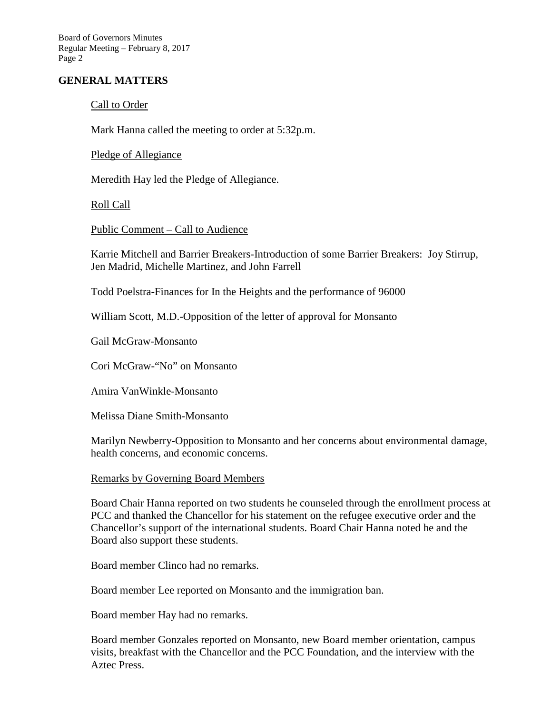Board of Governors Minutes Regular Meeting – February 8, 2017 Page 2

## **GENERAL MATTERS**

## Call to Order

Mark Hanna called the meeting to order at 5:32p.m.

Pledge of Allegiance

Meredith Hay led the Pledge of Allegiance.

Roll Call

Public Comment – Call to Audience

Karrie Mitchell and Barrier Breakers-Introduction of some Barrier Breakers: Joy Stirrup, Jen Madrid, Michelle Martinez, and John Farrell

Todd Poelstra-Finances for In the Heights and the performance of 96000

William Scott, M.D.-Opposition of the letter of approval for Monsanto

Gail McGraw-Monsanto

Cori McGraw-"No" on Monsanto

Amira VanWinkle-Monsanto

Melissa Diane Smith-Monsanto

Marilyn Newberry-Opposition to Monsanto and her concerns about environmental damage, health concerns, and economic concerns.

#### Remarks by Governing Board Members

Board Chair Hanna reported on two students he counseled through the enrollment process at PCC and thanked the Chancellor for his statement on the refugee executive order and the Chancellor's support of the international students. Board Chair Hanna noted he and the Board also support these students.

Board member Clinco had no remarks.

Board member Lee reported on Monsanto and the immigration ban.

Board member Hay had no remarks.

Board member Gonzales reported on Monsanto, new Board member orientation, campus visits, breakfast with the Chancellor and the PCC Foundation, and the interview with the Aztec Press.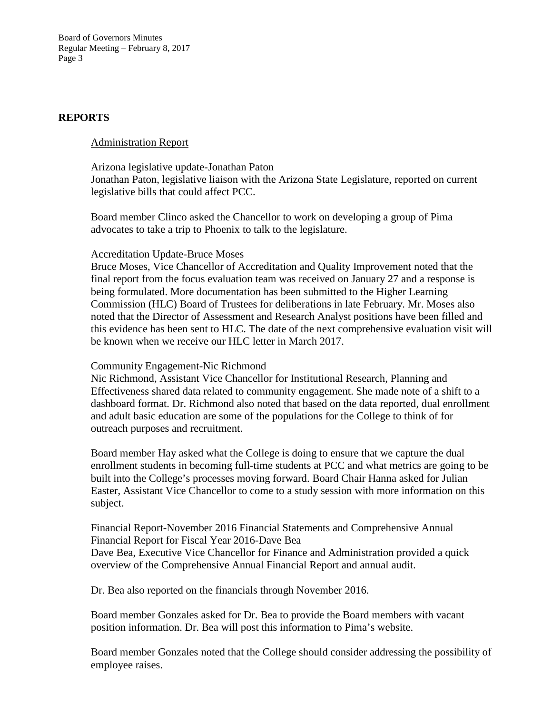Board of Governors Minutes Regular Meeting – February 8, 2017 Page 3

#### **REPORTS**

#### Administration Report

Arizona legislative update-Jonathan Paton Jonathan Paton, legislative liaison with the Arizona State Legislature, reported on current legislative bills that could affect PCC.

Board member Clinco asked the Chancellor to work on developing a group of Pima advocates to take a trip to Phoenix to talk to the legislature.

#### Accreditation Update-Bruce Moses

Bruce Moses, Vice Chancellor of Accreditation and Quality Improvement noted that the final report from the focus evaluation team was received on January 27 and a response is being formulated. More documentation has been submitted to the Higher Learning Commission (HLC) Board of Trustees for deliberations in late February. Mr. Moses also noted that the Director of Assessment and Research Analyst positions have been filled and this evidence has been sent to HLC. The date of the next comprehensive evaluation visit will be known when we receive our HLC letter in March 2017.

#### Community Engagement-Nic Richmond

Nic Richmond, Assistant Vice Chancellor for Institutional Research, Planning and Effectiveness shared data related to community engagement. She made note of a shift to a dashboard format. Dr. Richmond also noted that based on the data reported, dual enrollment and adult basic education are some of the populations for the College to think of for outreach purposes and recruitment.

Board member Hay asked what the College is doing to ensure that we capture the dual enrollment students in becoming full-time students at PCC and what metrics are going to be built into the College's processes moving forward. Board Chair Hanna asked for Julian Easter, Assistant Vice Chancellor to come to a study session with more information on this subject.

Financial Report-November 2016 Financial Statements and Comprehensive Annual Financial Report for Fiscal Year 2016-Dave Bea Dave Bea, Executive Vice Chancellor for Finance and Administration provided a quick overview of the Comprehensive Annual Financial Report and annual audit.

Dr. Bea also reported on the financials through November 2016.

Board member Gonzales asked for Dr. Bea to provide the Board members with vacant position information. Dr. Bea will post this information to Pima's website.

Board member Gonzales noted that the College should consider addressing the possibility of employee raises.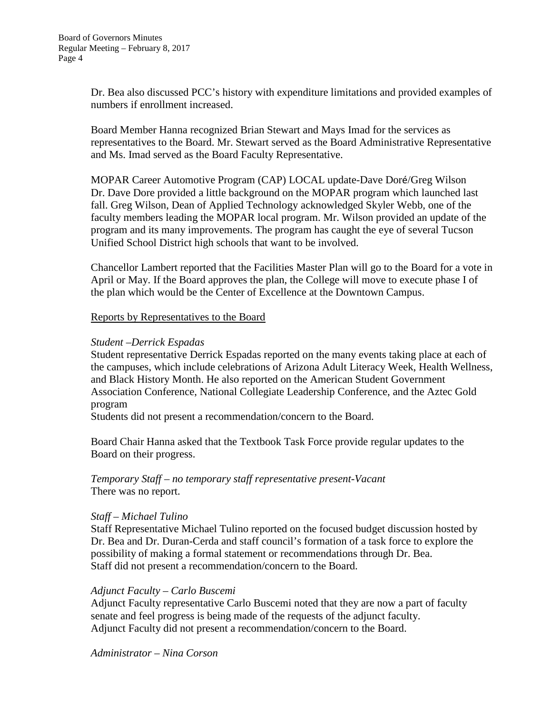Dr. Bea also discussed PCC's history with expenditure limitations and provided examples of numbers if enrollment increased.

Board Member Hanna recognized Brian Stewart and Mays Imad for the services as representatives to the Board. Mr. Stewart served as the Board Administrative Representative and Ms. Imad served as the Board Faculty Representative.

MOPAR Career Automotive Program (CAP) LOCAL update-Dave Doré/Greg Wilson Dr. Dave Dore provided a little background on the MOPAR program which launched last fall. Greg Wilson, Dean of Applied Technology acknowledged Skyler Webb, one of the faculty members leading the MOPAR local program. Mr. Wilson provided an update of the program and its many improvements. The program has caught the eye of several Tucson Unified School District high schools that want to be involved.

Chancellor Lambert reported that the Facilities Master Plan will go to the Board for a vote in April or May. If the Board approves the plan, the College will move to execute phase I of the plan which would be the Center of Excellence at the Downtown Campus.

## Reports by Representatives to the Board

## *Student –Derrick Espadas*

Student representative Derrick Espadas reported on the many events taking place at each of the campuses, which include celebrations of Arizona Adult Literacy Week, Health Wellness, and Black History Month. He also reported on the American Student Government Association Conference, National Collegiate Leadership Conference, and the Aztec Gold program

Students did not present a recommendation/concern to the Board.

Board Chair Hanna asked that the Textbook Task Force provide regular updates to the Board on their progress.

*Temporary Staff – no temporary staff representative present-Vacant* There was no report.

## *Staff – Michael Tulino*

Staff Representative Michael Tulino reported on the focused budget discussion hosted by Dr. Bea and Dr. Duran-Cerda and staff council's formation of a task force to explore the possibility of making a formal statement or recommendations through Dr. Bea. Staff did not present a recommendation/concern to the Board.

# *Adjunct Faculty – Carlo Buscemi*

Adjunct Faculty representative Carlo Buscemi noted that they are now a part of faculty senate and feel progress is being made of the requests of the adjunct faculty. Adjunct Faculty did not present a recommendation/concern to the Board.

*Administrator – Nina Corson*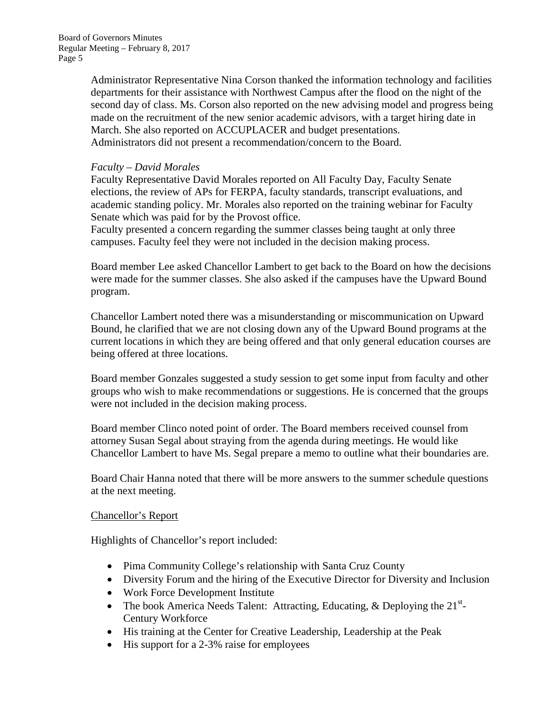Administrator Representative Nina Corson thanked the information technology and facilities departments for their assistance with Northwest Campus after the flood on the night of the second day of class. Ms. Corson also reported on the new advising model and progress being made on the recruitment of the new senior academic advisors, with a target hiring date in March. She also reported on ACCUPLACER and budget presentations. Administrators did not present a recommendation/concern to the Board.

## *Faculty – David Morales*

Faculty Representative David Morales reported on All Faculty Day, Faculty Senate elections, the review of APs for FERPA, faculty standards, transcript evaluations, and academic standing policy. Mr. Morales also reported on the training webinar for Faculty Senate which was paid for by the Provost office.

Faculty presented a concern regarding the summer classes being taught at only three campuses. Faculty feel they were not included in the decision making process.

Board member Lee asked Chancellor Lambert to get back to the Board on how the decisions were made for the summer classes. She also asked if the campuses have the Upward Bound program.

Chancellor Lambert noted there was a misunderstanding or miscommunication on Upward Bound, he clarified that we are not closing down any of the Upward Bound programs at the current locations in which they are being offered and that only general education courses are being offered at three locations.

Board member Gonzales suggested a study session to get some input from faculty and other groups who wish to make recommendations or suggestions. He is concerned that the groups were not included in the decision making process.

Board member Clinco noted point of order. The Board members received counsel from attorney Susan Segal about straying from the agenda during meetings. He would like Chancellor Lambert to have Ms. Segal prepare a memo to outline what their boundaries are.

Board Chair Hanna noted that there will be more answers to the summer schedule questions at the next meeting.

## Chancellor's Report

Highlights of Chancellor's report included:

- Pima Community College's relationship with Santa Cruz County
- Diversity Forum and the hiring of the Executive Director for Diversity and Inclusion
- Work Force Development Institute
- The book America Needs Talent: Attracting, Educating, & Deploying the  $21^{st}$ -Century Workforce
- His training at the Center for Creative Leadership, Leadership at the Peak
- His support for a 2-3% raise for employees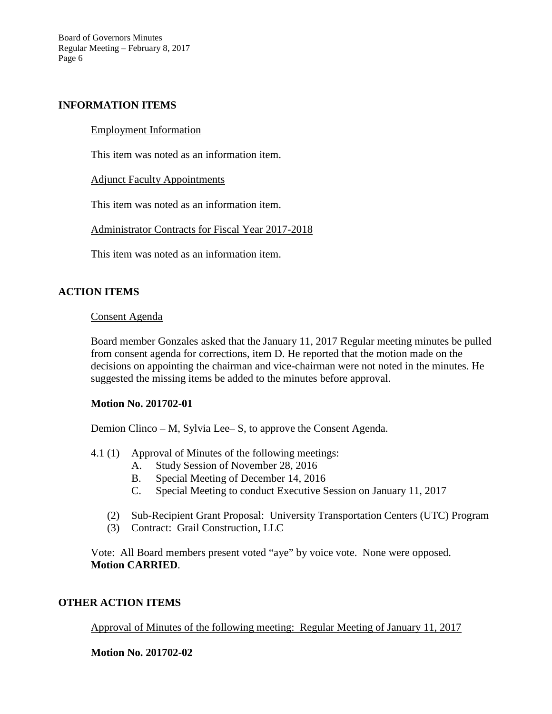Board of Governors Minutes Regular Meeting – February 8, 2017 Page 6

## **INFORMATION ITEMS**

#### Employment Information

This item was noted as an information item.

#### Adjunct Faculty Appointments

This item was noted as an information item.

Administrator Contracts for Fiscal Year 2017-2018

This item was noted as an information item.

## **ACTION ITEMS**

#### Consent Agenda

Board member Gonzales asked that the January 11, 2017 Regular meeting minutes be pulled from consent agenda for corrections, item D. He reported that the motion made on the decisions on appointing the chairman and vice-chairman were not noted in the minutes. He suggested the missing items be added to the minutes before approval.

## **Motion No. 201702-01**

Demion Clinco – M, Sylvia Lee– S, to approve the Consent Agenda.

- 4.1 (1) Approval of Minutes of the following meetings:
	- A. Study Session of November 28, 2016
	- B. Special Meeting of December 14, 2016
	- C. Special Meeting to conduct Executive Session on January 11, 2017
	- (2) Sub-Recipient Grant Proposal: University Transportation Centers (UTC) Program
	- (3) Contract: Grail Construction, LLC

Vote: All Board members present voted "aye" by voice vote. None were opposed. **Motion CARRIED**.

## **OTHER ACTION ITEMS**

## Approval of Minutes of the following meeting: Regular Meeting of January 11, 2017

## **Motion No. 201702-02**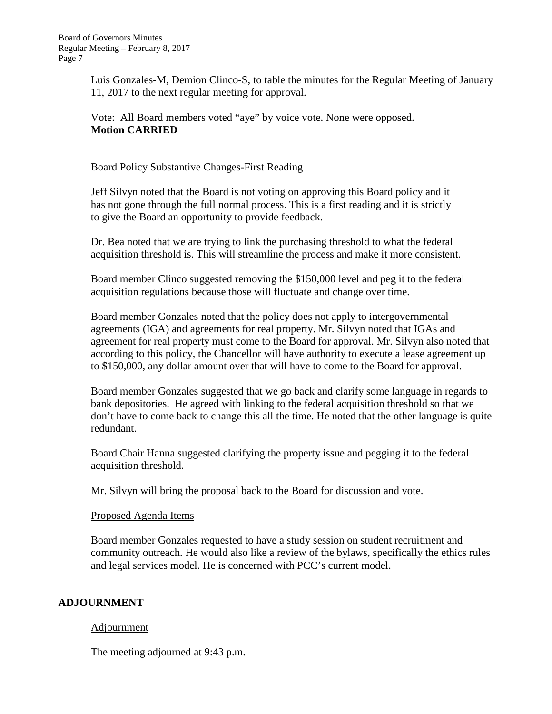Luis Gonzales-M, Demion Clinco-S, to table the minutes for the Regular Meeting of January 11, 2017 to the next regular meeting for approval.

Vote: All Board members voted "aye" by voice vote. None were opposed. **Motion CARRIED**

## Board Policy Substantive Changes-First Reading

Jeff Silvyn noted that the Board is not voting on approving this Board policy and it has not gone through the full normal process. This is a first reading and it is strictly to give the Board an opportunity to provide feedback.

Dr. Bea noted that we are trying to link the purchasing threshold to what the federal acquisition threshold is. This will streamline the process and make it more consistent.

Board member Clinco suggested removing the \$150,000 level and peg it to the federal acquisition regulations because those will fluctuate and change over time.

Board member Gonzales noted that the policy does not apply to intergovernmental agreements (IGA) and agreements for real property. Mr. Silvyn noted that IGAs and agreement for real property must come to the Board for approval. Mr. Silvyn also noted that according to this policy, the Chancellor will have authority to execute a lease agreement up to \$150,000, any dollar amount over that will have to come to the Board for approval.

Board member Gonzales suggested that we go back and clarify some language in regards to bank depositories. He agreed with linking to the federal acquisition threshold so that we don't have to come back to change this all the time. He noted that the other language is quite redundant.

Board Chair Hanna suggested clarifying the property issue and pegging it to the federal acquisition threshold.

Mr. Silvyn will bring the proposal back to the Board for discussion and vote.

## Proposed Agenda Items

Board member Gonzales requested to have a study session on student recruitment and community outreach. He would also like a review of the bylaws, specifically the ethics rules and legal services model. He is concerned with PCC's current model.

# **ADJOURNMENT**

# Adjournment

The meeting adjourned at 9:43 p.m.